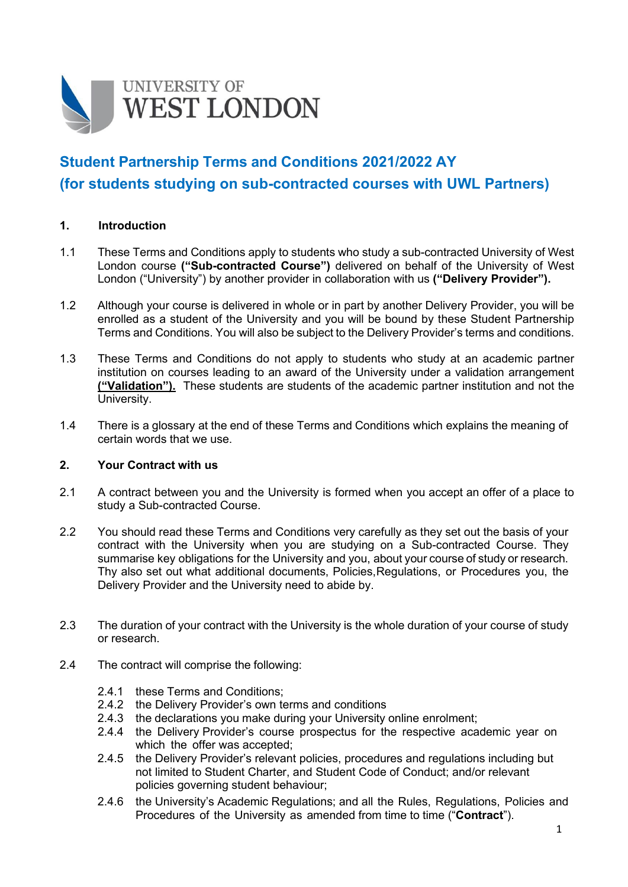

# **Student Partnership Terms and Conditions 2021/2022 AY (for students studying on sub-contracted courses with UWL Partners)**

## **1. Introduction**

- 1.1 These Terms and Conditions apply to students who study a sub-contracted University of West London course **("Sub-contracted Course")** delivered on behalf of the University of West London ("University") by another provider in collaboration with us **("Delivery Provider").**
- 1.2 Although your course is delivered in whole or in part by another Delivery Provider, you will be enrolled as a student of the University and you will be bound by these Student Partnership Terms and Conditions. You will also be subject to the Delivery Provider's terms and conditions.
- 1.3 These Terms and Conditions do not apply to students who study at an academic partner institution on courses leading to an award of the University under a validation arrangement **("Validation").** These students are students of the academic partner institution and not the University.
- 1.4 There is a glossary at the end of these Terms and Conditions which explains the meaning of certain words that we use.

## **2. Your Contract with us**

- 2.1 A contract between you and the University is formed when you accept an offer of a place to study a Sub-contracted Course.
- 2.2 You should read these Terms and Conditions very carefully as they set out the basis of your contract with the University when you are studying on a Sub-contracted Course. They summarise key obligations for the University and you, about your course of study or research. Thy also set out what additional documents, Policies,Regulations, or Procedures you, the Delivery Provider and the University need to abide by.
- 2.3 The duration of your contract with the University is the whole duration of your course of study or research.
- 2.4 The contract will comprise the following:
	- 2.4.1 these Terms and Conditions;
	- 2.4.2 the Delivery Provider's own terms and conditions
	- 2.4.3 the declarations you make during your University online enrolment;<br>2.4.4 the Delivery Provider's course prospectus for the respective aca
	- the Delivery Provider's course prospectus for the respective academic year on which the offer was accepted:
	- 2.4.5 the Delivery Provider's relevant policies, procedures and regulations including but not limited to Student Charter, and Student Code of Conduct; and/or relevant policies governing student behaviour;
	- 2.4.6 the University's Academic Regulations; and all the Rules, Regulations, Policies and Procedures of the University as amended from time to time ("**Contract**").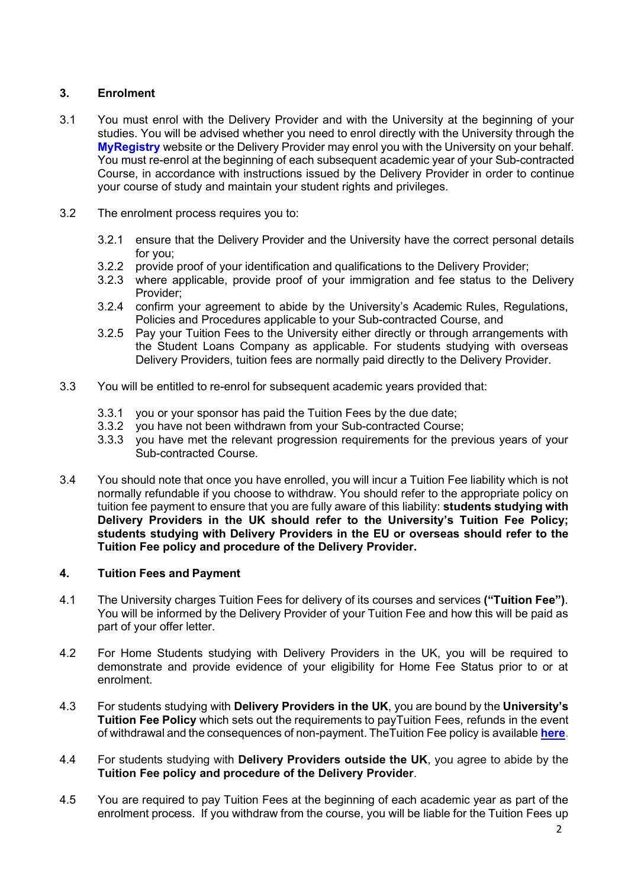# **3. Enrolment**

- 3.1 You must enrol with the Delivery Provider and with the University at the beginning of your studies. You will be advised whether you need to enrol directly with the University through the **MyRegistry** website or the Delivery Provider may enrol you with the University on your behalf. You must re-enrol at the beginning of each subsequent academic year of your Sub-contracted Course, in accordance with instructions issued by the Delivery Provider in order to continue your course of study and maintain your student rights and privileges.
- 3.2 The enrolment process requires you to:
	- 3.2.1 ensure that the Delivery Provider and the University have the correct personal details for you;
	- 3.2.2 provide proof of your identification and qualifications to the Delivery Provider;
	- 3.2.3 where applicable, provide proof of your immigration and fee status to the Delivery Provider;
	- 3.2.4 confirm your agreement to abide by the University's Academic Rules, Regulations, Policies and Procedures applicable to your Sub-contracted Course, and
	- 3.2.5 Pay your Tuition Fees to the University either directly or through arrangements with the Student Loans Company as applicable. For students studying with overseas Delivery Providers, tuition fees are normally paid directly to the Delivery Provider.
- 3.3 You will be entitled to re-enrol for subsequent academic years provided that:
	- 3.3.1 you or your sponsor has paid the Tuition Fees by the due date;<br>3.3.2 you have not been withdrawn from your Sub-contracted Course
	- you have not been withdrawn from your Sub-contracted Course;
	- 3.3.3 you have met the relevant progression requirements for the previous years of your Sub-contracted Course.
- 3.4 You should note that once you have enrolled, you will incur a Tuition Fee liability which is not normally refundable if you choose to withdraw. You should refer to the appropriate policy on tuition fee payment to ensure that you are fully aware of this liability: **students studying with Delivery Providers in the UK should refer to the University's Tuition Fee Policy; students studying with Delivery Providers in the EU or overseas should refer to the Tuition Fee policy and procedure of the Delivery Provider.**

# **4. Tuition Fees and Payment**

- 4.1 The University charges Tuition Fees for delivery of its courses and services **("Tuition Fee")**. You will be informed by the Delivery Provider of your Tuition Fee and how this will be paid as part of your offer letter.
- 4.2 For Home Students studying with Delivery Providers in the UK, you will be required to demonstrate and provide evidence of your eligibility for Home Fee Status prior to or at enrolment.
- 4.3 For students studying with **Delivery Providers in the UK**, you are bound by the **University's Tuition Fee Policy** which sets out the requirements to payTuition Fees, refunds in the event of withdrawal and the consequences of non-payment. TheTuition Fee policy is available **[here](htthttps://www.uwl.ac.uk/sites/default/files/Departments/About-us/tuition_fee_policy_2021_v3.pdf)**.
- 4.4 For students studying with **Delivery Providers outside the UK**, you agree to abide by the **Tuition Fee policy and procedure of the Delivery Provider**.
- 4.5 You are required to pay Tuition Fees at the beginning of each academic year as part of the enrolment process. If you withdraw from the course, you will be liable for the Tuition Fees up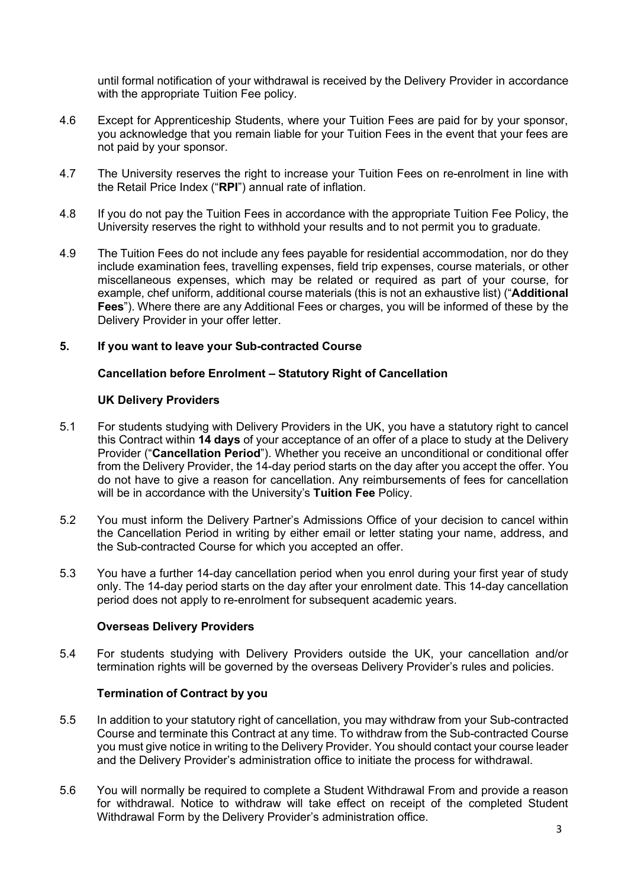until formal notification of your withdrawal is received by the Delivery Provider in accordance with the appropriate Tuition Fee policy.

- 4.6 Except for Apprenticeship Students, where your Tuition Fees are paid for by your sponsor, you acknowledge that you remain liable for your Tuition Fees in the event that your fees are not paid by your sponsor.
- 4.7 The University reserves the right to increase your Tuition Fees on re-enrolment in line with the Retail Price Index ("**RPI**") annual rate of inflation.
- 4.8 If you do not pay the Tuition Fees in accordance with the appropriate Tuition Fee Policy, the University reserves the right to withhold your results and to not permit you to graduate.
- 4.9 The Tuition Fees do not include any fees payable for residential accommodation, nor do they include examination fees, travelling expenses, field trip expenses, course materials, or other miscellaneous expenses, which may be related or required as part of your course, for example, chef uniform, additional course materials (this is not an exhaustive list) ("**Additional Fees**"). Where there are any Additional Fees or charges, you will be informed of these by the Delivery Provider in your offer letter.

## **5. If you want to leave your Sub-contracted Course**

## **Cancellation before Enrolment – Statutory Right of Cancellation**

## **UK Delivery Providers**

- 5.1 For students studying with Delivery Providers in the UK, you have a statutory right to cancel this Contract within **14 days** of your acceptance of an offer of a place to study at the Delivery Provider ("**Cancellation Period**"). Whether you receive an unconditional or conditional offer from the Delivery Provider, the 14-day period starts on the day after you accept the offer. You do not have to give a reason for cancellation. Any reimbursements of fees for cancellation will be in accordance with the University's **Tuition Fee** Policy.
- 5.2 You must inform the Delivery Partner's Admissions Office of your decision to cancel within the Cancellation Period in writing by either email or letter stating your name, address, and the Sub-contracted Course for which you accepted an offer.
- 5.3 You have a further 14-day cancellation period when you enrol during your first year of study only. The 14-day period starts on the day after your enrolment date. This 14-day cancellation period does not apply to re-enrolment for subsequent academic years.

## **Overseas Delivery Providers**

5.4 For students studying with Delivery Providers outside the UK, your cancellation and/or termination rights will be governed by the overseas Delivery Provider's rules and policies.

## **Termination of Contract by you**

- 5.5 In addition to your statutory right of cancellation, you may withdraw from your Sub-contracted Course and terminate this Contract at any time. To withdraw from the Sub-contracted Course you must give notice in writing to the Delivery Provider. You should contact your course leader and the Delivery Provider's administration office to initiate the process for withdrawal.
- 5.6 You will normally be required to complete a Student Withdrawal From and provide a reason for withdrawal. Notice to withdraw will take effect on receipt of the completed Student Withdrawal Form by the Delivery Provider's administration office.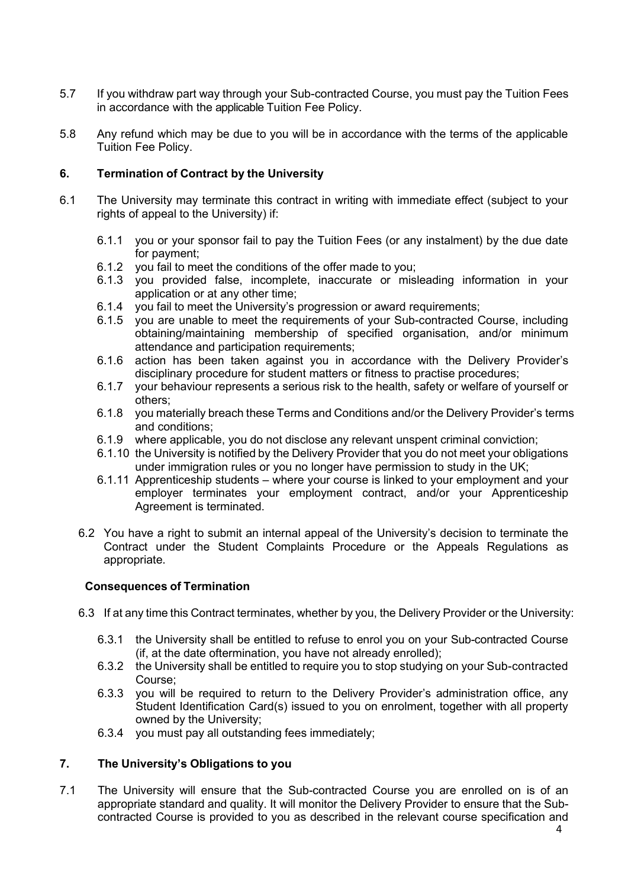- 5.7 If you withdraw part way through your Sub-contracted Course, you must pay the Tuition Fees in accordance with the applicable Tuition Fee Policy.
- 5.8 Any refund which may be due to you will be in accordance with the terms of the applicable Tuition Fee Policy.

## **6. Termination of Contract by the University**

- 6.1 The University may terminate this contract in writing with immediate effect (subject to your rights of appeal to the University) if:
	- 6.1.1 you or your sponsor fail to pay the Tuition Fees (or any instalment) by the due date for payment;
	- 6.1.2 you fail to meet the conditions of the offer made to you;
	- 6.1.3 you provided false, incomplete, inaccurate or misleading information in your application or at any other time;
	- 6.1.4 you fail to meet the University's progression or award requirements;<br>6.1.5 you are unable to meet the requirements of your Sub-contracted (
	- you are unable to meet the requirements of your Sub-contracted Course, including obtaining/maintaining membership of specified organisation, and/or minimum attendance and participation requirements;
	- 6.1.6 action has been taken against you in accordance with the Delivery Provider's disciplinary procedure for student matters or fitness to practise procedures;
	- 6.1.7 your behaviour represents a serious risk to the health, safety or welfare of yourself or others;
	- 6.1.8 you materially breach these Terms and Conditions and/or the Delivery Provider's terms and conditions;
	- 6.1.9 where applicable, you do not disclose any relevant unspent criminal conviction;
	- 6.1.10 the University is notified by the Delivery Provider that you do not meet your obligations under immigration rules or you no longer have permission to study in the UK;
	- 6.1.11 Apprenticeship students where your course is linked to your employment and your employer terminates your employment contract, and/or your Apprenticeship Agreement is terminated.
	- 6.2 You have a right to submit an internal appeal of the University's decision to terminate the Contract under the Student Complaints Procedure or the Appeals Regulations as appropriate.

## **Consequences of Termination**

- 6.3 If at any time this Contract terminates, whether by you, the Delivery Provider or the University:
	- 6.3.1 the University shall be entitled to refuse to enrol you on your Sub-contracted Course (if, at the date oftermination, you have not already enrolled);
	- 6.3.2 the University shall be entitled to require you to stop studying on your Sub-contracted Course;
	- 6.3.3 you will be required to return to the Delivery Provider's administration office, any Student Identification Card(s) issued to you on enrolment, together with all property owned by the University;
	- 6.3.4 you must pay all outstanding fees immediately;

## **7. The University's Obligations to you**

7.1 The University will ensure that the Sub-contracted Course you are enrolled on is of an appropriate standard and quality. It will monitor the Delivery Provider to ensure that the Subcontracted Course is provided to you as described in the relevant course specification and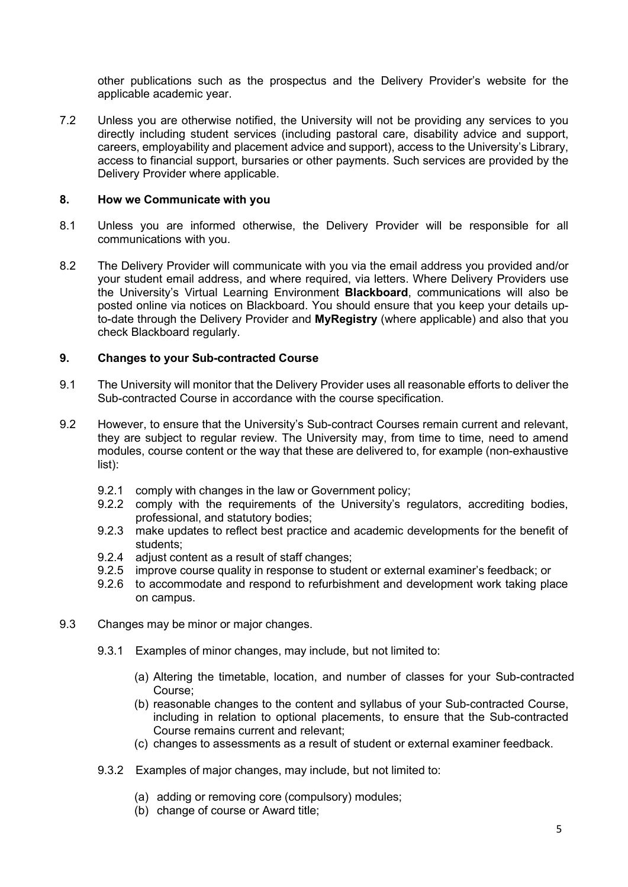other publications such as the prospectus and the Delivery Provider's website for the applicable academic year.

7.2 Unless you are otherwise notified, the University will not be providing any services to you directly including student services (including pastoral care, disability advice and support, careers, employability and placement advice and support), access to the University's Library, access to financial support, bursaries or other payments. Such services are provided by the Delivery Provider where applicable.

## **8. How we Communicate with you**

- 8.1 Unless you are informed otherwise, the Delivery Provider will be responsible for all communications with you.
- 8.2 The Delivery Provider will communicate with you via the email address you provided and/or your student email address, and where required, via letters. Where Delivery Providers use the University's Virtual Learning Environment **Blackboard**, communications will also be posted online via notices on Blackboard. You should ensure that you keep your details upto-date through the Delivery Provider and **MyRegistry** (where applicable) and also that you check Blackboard regularly.

## **9. Changes to your Sub-contracted Course**

- 9.1 The University will monitor that the Delivery Provider uses all reasonable efforts to deliver the Sub-contracted Course in accordance with the course specification.
- 9.2 However, to ensure that the University's Sub-contract Courses remain current and relevant, they are subject to regular review. The University may, from time to time, need to amend modules, course content or the way that these are delivered to, for example (non-exhaustive list):
	- 9.2.1 comply with changes in the law or Government policy;
	- 9.2.2 comply with the requirements of the University's regulators, accrediting bodies, professional, and statutory bodies;
	- 9.2.3 make updates to reflect best practice and academic developments for the benefit of students;
	- 9.2.4 adjust content as a result of staff changes;
	- 9.2.5 improve course quality in response to student or external examiner's feedback; or
	- 9.2.6 to accommodate and respond to refurbishment and development work taking place on campus.
- 9.3 Changes may be minor or major changes.
	- 9.3.1 Examples of minor changes, may include, but not limited to:
		- (a) Altering the timetable, location, and number of classes for your Sub-contracted Course;
		- (b) reasonable changes to the content and syllabus of your Sub-contracted Course, including in relation to optional placements, to ensure that the Sub-contracted Course remains current and relevant;
		- (c) changes to assessments as a result of student or external examiner feedback.
	- 9.3.2 Examples of major changes, may include, but not limited to:
		- (a) adding or removing core (compulsory) modules;
		- (b) change of course or Award title;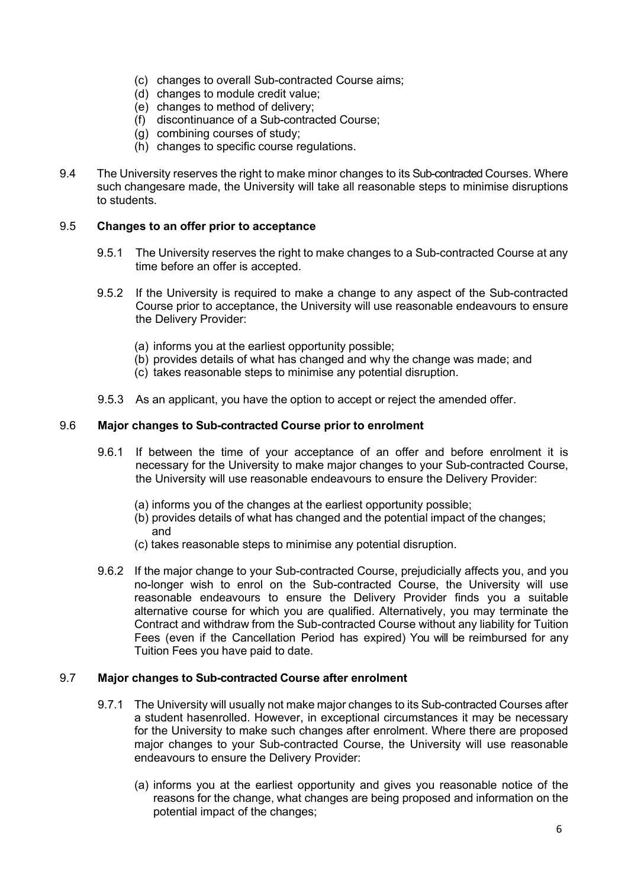- (c) changes to overall Sub-contracted Course aims;
- (d) changes to module credit value;
- (e) changes to method of delivery;
- (f) discontinuance of a Sub-contracted Course;
- (g) combining courses of study;
- (h) changes to specific course regulations.
- 9.4 The University reserves the right to make minor changes to its Sub-contracted Courses. Where such changesare made, the University will take all reasonable steps to minimise disruptions to students.

#### 9.5 **Changes to an offer prior to acceptance**

- 9.5.1 The University reserves the right to make changes to a Sub-contracted Course at any time before an offer is accepted.
- 9.5.2 If the University is required to make a change to any aspect of the Sub-contracted Course prior to acceptance, the University will use reasonable endeavours to ensure the Delivery Provider:
	- (a) informs you at the earliest opportunity possible;
	- (b) provides details of what has changed and why the change was made; and
	- (c) takes reasonable steps to minimise any potential disruption.
- 9.5.3 As an applicant, you have the option to accept or reject the amended offer.

#### 9.6 **Major changes to Sub-contracted Course prior to enrolment**

- 9.6.1 If between the time of your acceptance of an offer and before enrolment it is necessary for the University to make major changes to your Sub-contracted Course, the University will use reasonable endeavours to ensure the Delivery Provider:
	- (a) informs you of the changes at the earliest opportunity possible;
	- (b) provides details of what has changed and the potential impact of the changes; and
	- (c) takes reasonable steps to minimise any potential disruption.
- 9.6.2 If the major change to your Sub-contracted Course, prejudicially affects you, and you no-longer wish to enrol on the Sub-contracted Course, the University will use reasonable endeavours to ensure the Delivery Provider finds you a suitable alternative course for which you are qualified. Alternatively, you may terminate the Contract and withdraw from the Sub-contracted Course without any liability for Tuition Fees (even if the Cancellation Period has expired) You will be reimbursed for any Tuition Fees you have paid to date.

#### 9.7 **Major changes to Sub-contracted Course after enrolment**

- 9.7.1 The University will usually not make major changes to its Sub-contracted Courses after a student hasenrolled. However, in exceptional circumstances it may be necessary for the University to make such changes after enrolment. Where there are proposed major changes to your Sub-contracted Course, the University will use reasonable endeavours to ensure the Delivery Provider:
	- (a) informs you at the earliest opportunity and gives you reasonable notice of the reasons for the change, what changes are being proposed and information on the potential impact of the changes;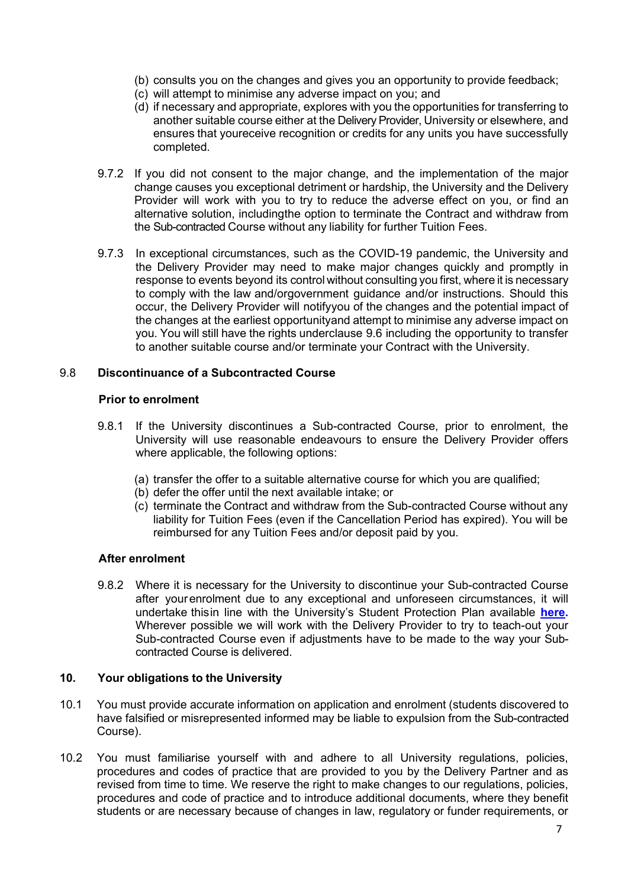- (b) consults you on the changes and gives you an opportunity to provide feedback;
- (c) will attempt to minimise any adverse impact on you; and
- (d) if necessary and appropriate, explores with you the opportunities for transferring to another suitable course either at the Delivery Provider, University or elsewhere, and ensures that youreceive recognition or credits for any units you have successfully completed.
- 9.7.2 If you did not consent to the major change, and the implementation of the major change causes you exceptional detriment or hardship, the University and the Delivery Provider will work with you to try to reduce the adverse effect on you, or find an alternative solution, includingthe option to terminate the Contract and withdraw from the Sub-contracted Course without any liability for further Tuition Fees.
- 9.7.3 In exceptional circumstances, such as the COVID-19 pandemic, the University and the Delivery Provider may need to make major changes quickly and promptly in response to events beyond its control without consulting you first, where it is necessary to comply with the law and/orgovernment guidance and/or instructions. Should this occur, the Delivery Provider will notifyyou of the changes and the potential impact of the changes at the earliest opportunityand attempt to minimise any adverse impact on you. You will still have the rights underclause 9.6 including the opportunity to transfer to another suitable course and/or terminate your Contract with the University.

## 9.8 **Discontinuance of a Subcontracted Course**

#### **Prior to enrolment**

- 9.8.1 If the University discontinues a Sub-contracted Course, prior to enrolment, the University will use reasonable endeavours to ensure the Delivery Provider offers where applicable, the following options:
	- (a) transfer the offer to a suitable alternative course for which you are qualified;
	- (b) defer the offer until the next available intake; or
	- (c) terminate the Contract and withdraw from the Sub-contracted Course without any liability for Tuition Fees (even if the Cancellation Period has expired). You will be reimbursed for any Tuition Fees and/or deposit paid by you.

## **After enrolment**

9.8.2 Where it is necessary for the University to discontinue your Sub-contracted Course after yourenrolment due to any exceptional and unforeseen circumstances, it will undertake thisin line with the University's Student Protection Plan available **[here.](http://www.uwl.ac.uk/students/current-students/policies-procedures-and-regulations)**  Wherever possible we will work with the Delivery Provider to try to teach-out your Sub-contracted Course even if adjustments have to be made to the way your Subcontracted Course is delivered.

## **10. Your obligations to the University**

- 10.1 You must provide accurate information on application and enrolment (students discovered to have falsified or misrepresented informed may be liable to expulsion from the Sub-contracted Course).
- 10.2 You must familiarise yourself with and adhere to all University regulations, policies, procedures and codes of practice that are provided to you by the Delivery Partner and as revised from time to time. We reserve the right to make changes to our regulations, policies, procedures and code of practice and to introduce additional documents, where they benefit students or are necessary because of changes in law, regulatory or funder requirements, or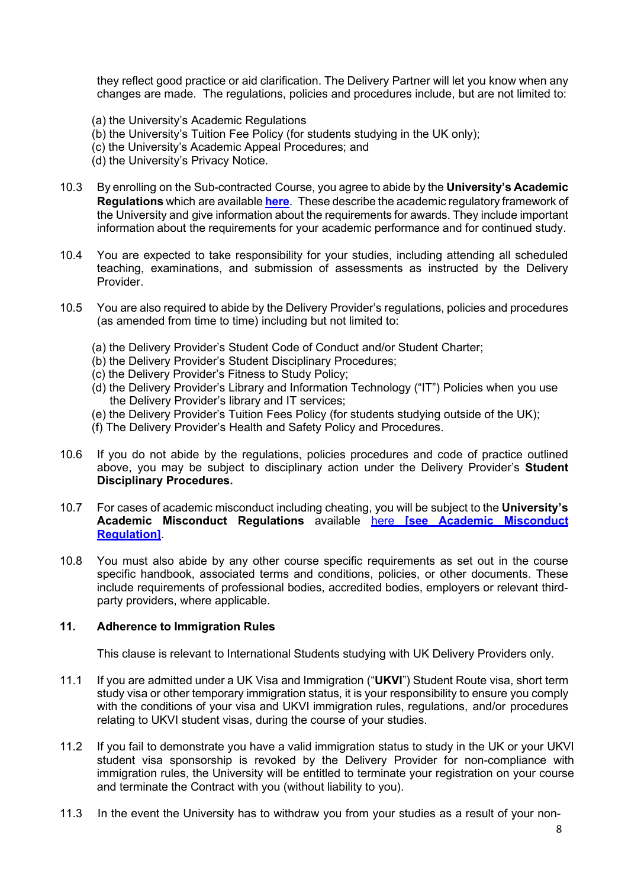they reflect good practice or aid clarification. The Delivery Partner will let you know when any changes are made. The regulations, policies and procedures include, but are not limited to:

- (a) the University's Academic Regulations
- (b) the University's Tuition Fee Policy (for students studying in the UK only);
- (c) the University's Academic Appeal Procedures; and
- (d) the University's Privacy Notice.
- 10.3 By enrolling on the Sub-contracted Course, you agree to abide by the **University's Academic Regulations** which are available **[here](http://www.uwl.ac.uk/students/current-students/policies-procedures-and-regulations)**. These describe the academic regulatory framework of the University and give information about the requirements for awards. They include important information about the requirements for your academic performance and for continued study.
- 10.4 You are expected to take responsibility for your studies, including attending all scheduled teaching, examinations, and submission of assessments as instructed by the Delivery Provider.
- 10.5 You are also required to abide by the Delivery Provider's regulations, policies and procedures (as amended from time to time) including but not limited to:
	- (a) the Delivery Provider's Student Code of Conduct and/or Student Charter;
	- (b) the Delivery Provider's Student Disciplinary Procedures;
	- (c) the Delivery Provider's Fitness to Study Policy;
	- (d) the Delivery Provider's Library and Information Technology ("IT") Policies when you use the Delivery Provider's library and IT services;
	- (e) the Delivery Provider's Tuition Fees Policy (for students studying outside of the UK);
	- (f) The Delivery Provider's Health and Safety Policy and Procedures.
- 10.6 If you do not abide by the regulations, policies procedures and code of practice outlined above, you may be subject to disciplinary action under the Delivery Provider's **Student Disciplinary Procedures.**
- 10.7 For cases of academic misconduct including cheating, you will be subject to the **University's Academic Misconduct Regulations** available here **[see Academic [Misconduct](https://www.uwl.ac.uk/sites/default/files/academic_regulations_ay20-21_-_academic_offences.pdf) [Regulation\]](https://www.uwl.ac.uk/sites/default/files/academic_regulations_ay20-21_-_academic_offences.pdf)**.
- 10.8 You must also abide by any other course specific requirements as set out in the course specific handbook, associated terms and conditions, policies, or other documents. These include requirements of professional bodies, accredited bodies, employers or relevant thirdparty providers, where applicable.

#### **11. Adherence to Immigration Rules**

This clause is relevant to International Students studying with UK Delivery Providers only.

- 11.1 If you are admitted under a UK Visa and Immigration ("**UKVI**") Student Route visa, short term study visa or other temporary immigration status, it is your responsibility to ensure you comply with the conditions of your visa and UKVI immigration rules, regulations, and/or procedures relating to UKVI student visas, during the course of your studies.
- 11.2 If you fail to demonstrate you have a valid immigration status to study in the UK or your UKVI student visa sponsorship is revoked by the Delivery Provider for non-compliance with immigration rules, the University will be entitled to terminate your registration on your course and terminate the Contract with you (without liability to you).
- 11.3 In the event the University has to withdraw you from your studies as a result of your non-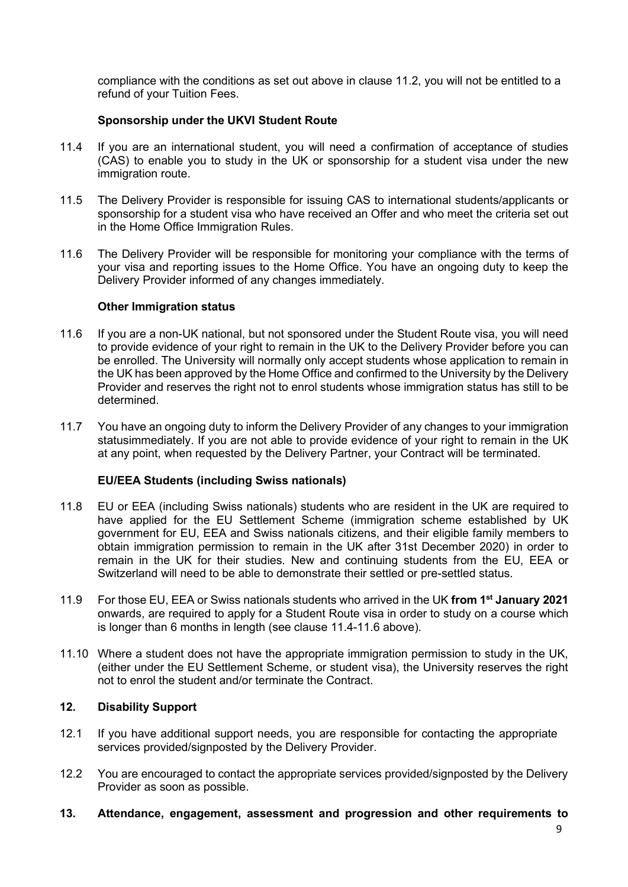compliance with the conditions as set out above in clause 11.2, you will not be entitled to a refund of your Tuition Fees.

## **Sponsorship under the UKVI Student Route**

- 11.4 If you are an international student, you will need a confirmation of acceptance of studies (CAS) to enable you to study in the UK or sponsorship for a student visa under the new immigration route.
- 11.5 The Delivery Provider is responsible for issuing CAS to international students/applicants or sponsorship for a student visa who have received an Offer and who meet the criteria set out in the Home Office Immigration Rules.
- 11.6 The Delivery Provider will be responsible for monitoring your compliance with the terms of your visa and reporting issues to the Home Office. You have an ongoing duty to keep the Delivery Provider informed of any changes immediately.

## **Other Immigration status**

- 11.6 If you are a non-UK national, but not sponsored under the Student Route visa, you will need to provide evidence of your right to remain in the UK to the Delivery Provider before you can be enrolled. The University will normally only accept students whose application to remain in the UK has been approved by the Home Office and confirmed to the University by the Delivery Provider and reserves the right not to enrol students whose immigration status has still to be determined.
- 11.7 You have an ongoing duty to inform the Delivery Provider of any changes to your immigration statusimmediately. If you are not able to provide evidence of your right to remain in the UK at any point, when requested by the Delivery Partner, your Contract will be terminated.

## **EU/EEA Students (including Swiss nationals)**

- 11.8 EU or EEA (including Swiss nationals) students who are resident in the UK are required to have applied for the EU Settlement Scheme (immigration scheme established by UK government for EU, EEA and Swiss nationals citizens, and their eligible family members to obtain immigration permission to remain in the UK after 31st December 2020) in order to remain in the UK for their studies. New and continuing students from the EU, EEA or Switzerland will need to be able to demonstrate their settled or pre-settled status.
- 11.9 For those EU, EEA or Swiss nationals students who arrived in the UK **from 1st January 2021**  onwards, are required to apply for a Student Route visa in order to study on a course which is longer than 6 months in length (see clause 11.4-11.6 above).
- 11.10 Where a student does not have the appropriate immigration permission to study in the UK, (either under the EU Settlement Scheme, or student visa), the University reserves the right not to enrol the student and/or terminate the Contract.

## **12. Disability Support**

- 12.1 If you have additional support needs, you are responsible for contacting the appropriate services provided/signposted by the Delivery Provider.
- 12.2 You are encouraged to contact the appropriate services provided/signposted by the Delivery Provider as soon as possible.
- **13. Attendance, engagement, assessment and progression and other requirements to**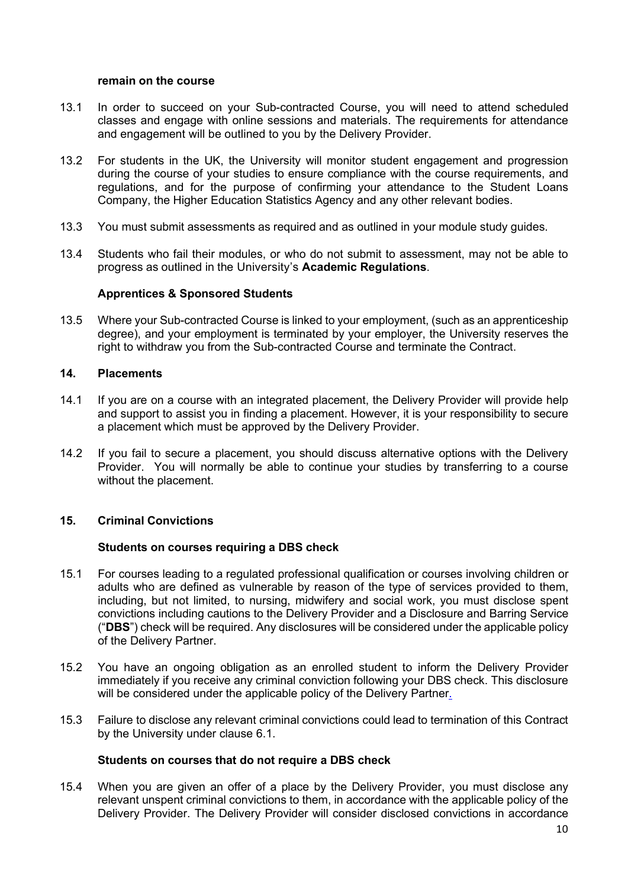#### **remain on the course**

- 13.1 In order to succeed on your Sub-contracted Course, you will need to attend scheduled classes and engage with online sessions and materials. The requirements for attendance and engagement will be outlined to you by the Delivery Provider.
- 13.2 For students in the UK, the University will monitor student engagement and progression during the course of your studies to ensure compliance with the course requirements, and regulations, and for the purpose of confirming your attendance to the Student Loans Company, the Higher Education Statistics Agency and any other relevant bodies.
- 13.3 You must submit assessments as required and as outlined in your module study guides.
- 13.4 Students who fail their modules, or who do not submit to assessment, may not be able to progress as outlined in the University's **Academic Regulations**.

## **Apprentices & Sponsored Students**

13.5 Where your Sub-contracted Course is linked to your employment, (such as an apprenticeship degree), and your employment is terminated by your employer, the University reserves the right to withdraw you from the Sub-contracted Course and terminate the Contract.

#### **14. Placements**

- 14.1 If you are on a course with an integrated placement, the Delivery Provider will provide help and support to assist you in finding a placement. However, it is your responsibility to secure a placement which must be approved by the Delivery Provider.
- 14.2 If you fail to secure a placement, you should discuss alternative options with the Delivery Provider. You will normally be able to continue your studies by transferring to a course without the placement.

## **15. Criminal Convictions**

## **Students on courses requiring a DBS check**

- 15.1 For courses leading to a regulated professional qualification or courses involving children or adults who are defined as vulnerable by reason of the type of services provided to them, including, but not limited, to nursing, midwifery and social work, you must disclose spent convictions including cautions to the Delivery Provider and a Disclosure and Barring Service ("**DBS**") check will be required. Any disclosures will be considered under the applicable policy of the Delivery Partner.
- 15.2 You have an ongoing obligation as an enrolled student to inform the Delivery Provider immediately if you receive any criminal conviction following your DBS check. This disclosure will be considered under the applicable policy of the Delivery Partner.
- 15.3 Failure to disclose any relevant criminal convictions could lead to termination of this Contract by the University under clause 6.1.

#### **Students on courses that do not require a DBS check**

15.4 When you are given an offer of a place by the Delivery Provider, you must disclose any relevant unspent criminal convictions to them, in accordance with the applicable policy of the Delivery Provider. The Delivery Provider will consider disclosed convictions in accordance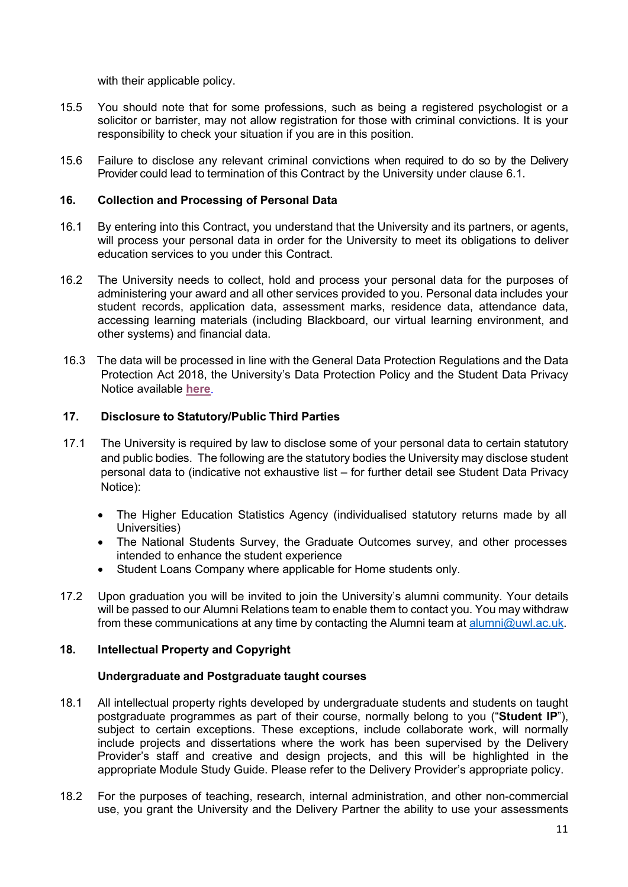with their applicable policy.

- 15.5 You should note that for some professions, such as being a registered psychologist or a solicitor or barrister, may not allow registration for those with criminal convictions. It is your responsibility to check your situation if you are in this position.
- 15.6 Failure to disclose any relevant criminal convictions when required to do so by the Delivery Provider could lead to termination of this Contract by the University under clause 6.1.

## **16. Collection and Processing of Personal Data**

- 16.1 By entering into this Contract, you understand that the University and its partners, or agents, will process your personal data in order for the University to meet its obligations to deliver education services to you under this Contract.
- 16.2 The University needs to collect, hold and process your personal data for the purposes of administering your award and all other services provided to you. Personal data includes your student records, application data, assessment marks, residence data, attendance data, accessing learning materials (including Blackboard, our virtual learning environment, and other systems) and financial data.
- 16.3 The data will be processed in line with the General Data Protection Regulations and the Data Protection Act 2018, the University's Data Protection Policy and the Student Data Privacy Notice available **[here](https://www.uwl.ac.uk/about-us/policies-and-regulations/privacy-and-data-protection)**.

## **17. Disclosure to Statutory/Public Third Parties**

- 17.1 The University is required by law to disclose some of your personal data to certain statutory and public bodies. The following are the statutory bodies the University may disclose student personal data to (indicative not exhaustive list – for further detail see Student Data Privacy Notice):
	- The Higher Education Statistics Agency (individualised statutory returns made by all Universities)
	- The National Students Survey, the Graduate Outcomes survey, and other processes intended to enhance the student experience
	- Student Loans Company where applicable for Home students only.
- 17.2 Upon graduation you will be invited to join the University's alumni community. Your details will be passed to our Alumni Relations team to enable them to contact you. You may withdraw from these communications at any time by contacting the Alumni team at [alumni@uwl.ac.uk.](mailto:alumni@uwl.ac.uk)

# **18. Intellectual Property and Copyright**

## **Undergraduate and Postgraduate taught courses**

- 18.1 All intellectual property rights developed by undergraduate students and students on taught postgraduate programmes as part of their course, normally belong to you ("**Student IP**"), subject to certain exceptions. These exceptions, include collaborate work, will normally include projects and dissertations where the work has been supervised by the Delivery Provider's staff and creative and design projects, and this will be highlighted in the appropriate Module Study Guide. Please refer to the Delivery Provider's appropriate policy.
- 18.2 For the purposes of teaching, research, internal administration, and other non-commercial use, you grant the University and the Delivery Partner the ability to use your assessments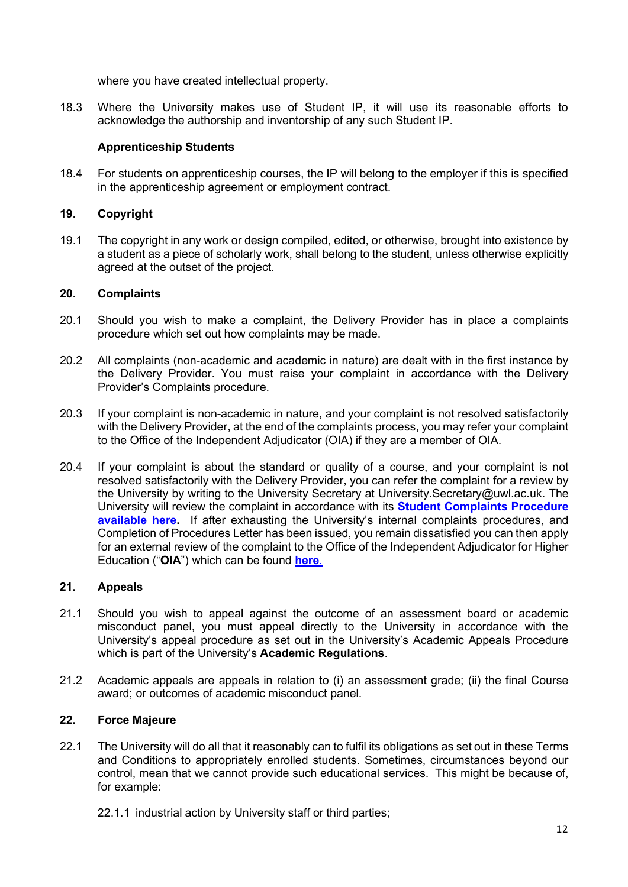where you have created intellectual property.

18.3 Where the University makes use of Student IP, it will use its reasonable efforts to acknowledge the authorship and inventorship of any such Student IP.

# **Apprenticeship Students**

18.4 For students on apprenticeship courses, the IP will belong to the employer if this is specified in the apprenticeship agreement or employment contract.

# **19. Copyright**

19.1 The copyright in any work or design compiled, edited, or otherwise, brought into existence by a student as a piece of scholarly work, shall belong to the student, unless otherwise explicitly agreed at the outset of the project.

# **20. Complaints**

- 20.1 Should you wish to make a complaint, the Delivery Provider has in place a complaints procedure which set out how complaints may be made.
- 20.2 All complaints (non-academic and academic in nature) are dealt with in the first instance by the Delivery Provider. You must raise your complaint in accordance with the Delivery Provider's Complaints procedure.
- 20.3 If your complaint is non-academic in nature, and your complaint is not resolved satisfactorily with the Delivery Provider, at the end of the complaints process, you may refer your complaint to the Office of the Independent Adjudicator (OIA) if they are a member of OIA.
- 20.4 If your complaint is about the standard or quality of a course, and your complaint is not resolved satisfactorily with the Delivery Provider, you can refer the complaint for a review by the University by writing to the University Secretary at University.Secretary@uwl.ac.uk. The University will review the complaint in accordance with its **Student Complaints Procedure available here.** If after exhausting the University's internal complaints procedures, and Completion of Procedures Letter has been issued, you remain dissatisfied you can then apply for an external review of the complaint to the Office of the Independent Adjudicator for Higher Education ("**OIA**") which can be found **[here](http://www.oiahe.org.uk/)**.

# **21. Appeals**

- 21.1 Should you wish to appeal against the outcome of an assessment board or academic misconduct panel, you must appeal directly to the University in accordance with the University's appeal procedure as set out in the University's Academic Appeals Procedure which is part of the University's **Academic Regulations**.
- 21.2 Academic appeals are appeals in relation to (i) an assessment grade; (ii) the final Course award; or outcomes of academic misconduct panel.

# **22. Force Majeure**

- 22.1 The University will do all that it reasonably can to fulfil its obligations as set out in these Terms and Conditions to appropriately enrolled students. Sometimes, circumstances beyond our control, mean that we cannot provide such educational services. This might be because of, for example:
	- 22.1.1 industrial action by University staff or third parties;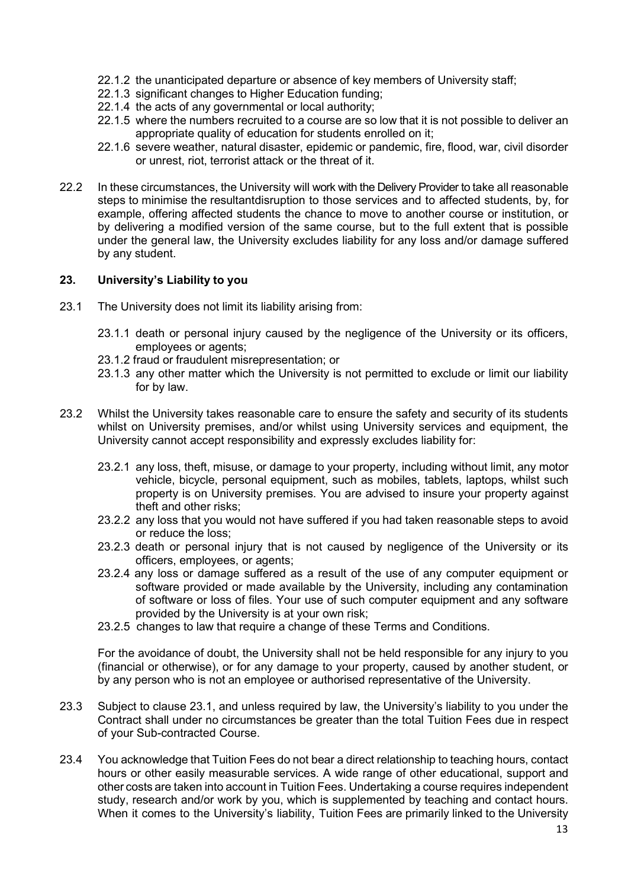- 22.1.2 the unanticipated departure or absence of key members of University staff;
- 22.1.3 significant changes to Higher Education funding;
- 22.1.4 the acts of any governmental or local authority;
- 22.1.5 where the numbers recruited to a course are so low that it is not possible to deliver an appropriate quality of education for students enrolled on it;
- 22.1.6 severe weather, natural disaster, epidemic or pandemic, fire, flood, war, civil disorder or unrest, riot, terrorist attack or the threat of it.
- 22.2 In these circumstances, the University will work with the Delivery Provider to take all reasonable steps to minimise the resultantdisruption to those services and to affected students, by, for example, offering affected students the chance to move to another course or institution, or by delivering a modified version of the same course, but to the full extent that is possible under the general law, the University excludes liability for any loss and/or damage suffered by any student.

#### **23. University's Liability to you**

- 23.1 The University does not limit its liability arising from:
	- 23.1.1 death or personal injury caused by the negligence of the University or its officers, employees or agents;
	- 23.1.2 fraud or fraudulent misrepresentation; or
	- 23.1.3 any other matter which the University is not permitted to exclude or limit our liability for by law.
- 23.2 Whilst the University takes reasonable care to ensure the safety and security of its students whilst on University premises, and/or whilst using University services and equipment, the University cannot accept responsibility and expressly excludes liability for:
	- 23.2.1 any loss, theft, misuse, or damage to your property, including without limit, any motor vehicle, bicycle, personal equipment, such as mobiles, tablets, laptops, whilst such property is on University premises. You are advised to insure your property against theft and other risks;
	- 23.2.2 any loss that you would not have suffered if you had taken reasonable steps to avoid or reduce the loss;
	- 23.2.3 death or personal injury that is not caused by negligence of the University or its officers, employees, or agents;
	- 23.2.4 any loss or damage suffered as a result of the use of any computer equipment or software provided or made available by the University, including any contamination of software or loss of files. Your use of such computer equipment and any software provided by the University is at your own risk;
	- 23.2.5 changes to law that require a change of these Terms and Conditions.

For the avoidance of doubt, the University shall not be held responsible for any injury to you (financial or otherwise), or for any damage to your property, caused by another student, or by any person who is not an employee or authorised representative of the University.

- 23.3 Subject to clause 23.1, and unless required by law, the University's liability to you under the Contract shall under no circumstances be greater than the total Tuition Fees due in respect of your Sub-contracted Course.
- 23.4 You acknowledge that Tuition Fees do not bear a direct relationship to teaching hours, contact hours or other easily measurable services. A wide range of other educational, support and other costs are taken into account in Tuition Fees. Undertaking a course requires independent study, research and/or work by you, which is supplemented by teaching and contact hours. When it comes to the University's liability, Tuition Fees are primarily linked to the University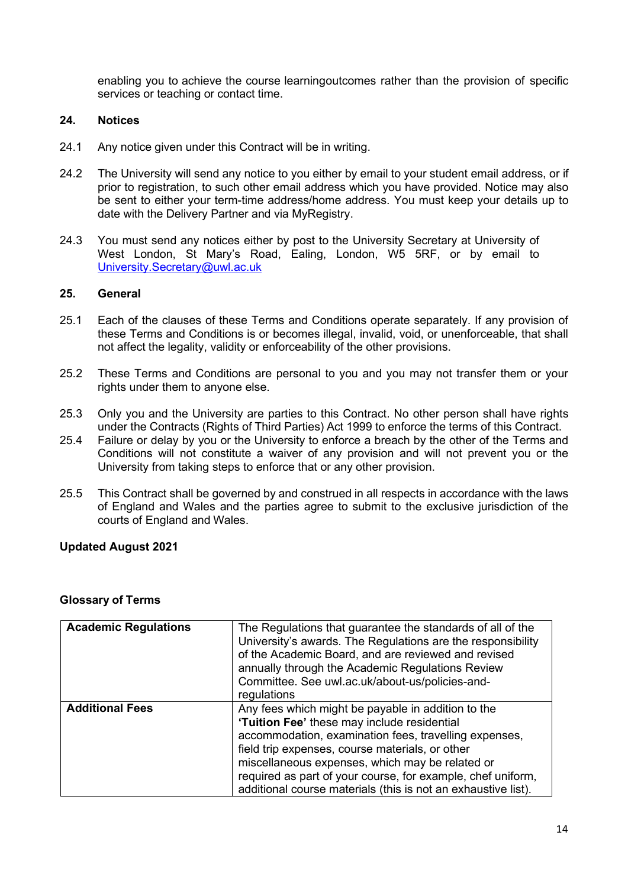enabling you to achieve the course learningoutcomes rather than the provision of specific services or teaching or contact time.

#### **24. Notices**

- 24.1 Any notice given under this Contract will be in writing.
- 24.2 The University will send any notice to you either by email to your student email address, or if prior to registration, to such other email address which you have provided. Notice may also be sent to either your term-time address/home address. You must keep your details up to date with the Delivery Partner and via MyRegistry.
- 24.3 You must send any notices either by post to the University Secretary at University of West London, St Mary's Road, Ealing, London, W5 5RF, or by email to [University.Secretary@uwl.ac.uk](mailto:University.Secretary@uwl.ac.uk)

## **25. General**

- 25.1 Each of the clauses of these Terms and Conditions operate separately. If any provision of these Terms and Conditions is or becomes illegal, invalid, void, or unenforceable, that shall not affect the legality, validity or enforceability of the other provisions.
- 25.2 These Terms and Conditions are personal to you and you may not transfer them or your rights under them to anyone else.
- 25.3 Only you and the University are parties to this Contract. No other person shall have rights under the Contracts (Rights of Third Parties) Act 1999 to enforce the terms of this Contract.
- 25.4 Failure or delay by you or the University to enforce a breach by the other of the Terms and Conditions will not constitute a waiver of any provision and will not prevent you or the University from taking steps to enforce that or any other provision.
- 25.5 This Contract shall be governed by and construed in all respects in accordance with the laws of England and Wales and the parties agree to submit to the exclusive jurisdiction of the courts of England and Wales.

## **Updated August 2021**

#### **Glossary of Terms**

| <b>Academic Regulations</b> | The Regulations that guarantee the standards of all of the<br>University's awards. The Regulations are the responsibility<br>of the Academic Board, and are reviewed and revised<br>annually through the Academic Regulations Review<br>Committee. See uwl.ac.uk/about-us/policies-and-<br>regulations                                                                                           |
|-----------------------------|--------------------------------------------------------------------------------------------------------------------------------------------------------------------------------------------------------------------------------------------------------------------------------------------------------------------------------------------------------------------------------------------------|
| <b>Additional Fees</b>      | Any fees which might be payable in addition to the<br>'Tuition Fee' these may include residential<br>accommodation, examination fees, travelling expenses,<br>field trip expenses, course materials, or other<br>miscellaneous expenses, which may be related or<br>required as part of your course, for example, chef uniform,<br>additional course materials (this is not an exhaustive list). |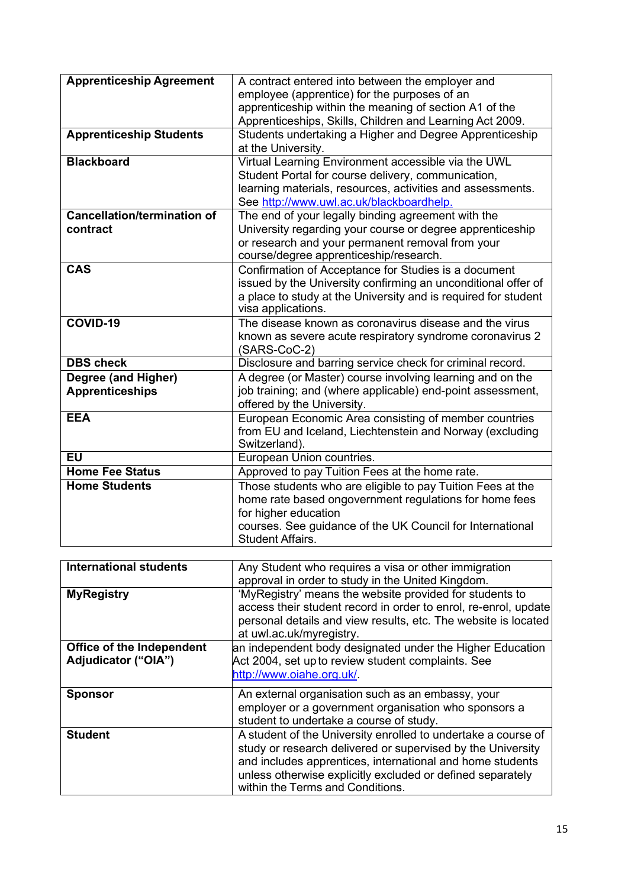| A contract entered into between the employer and<br>employee (apprentice) for the purposes of an<br>apprenticeship within the meaning of section A1 of the<br>Apprenticeships, Skills, Children and Learning Act 2009.               |
|--------------------------------------------------------------------------------------------------------------------------------------------------------------------------------------------------------------------------------------|
| Students undertaking a Higher and Degree Apprenticeship<br>at the University.                                                                                                                                                        |
| Virtual Learning Environment accessible via the UWL<br>Student Portal for course delivery, communication,<br>learning materials, resources, activities and assessments.<br>See http://www.uwl.ac.uk/blackboardhelp.                  |
| The end of your legally binding agreement with the<br>University regarding your course or degree apprenticeship<br>or research and your permanent removal from your<br>course/degree apprenticeship/research.                        |
| Confirmation of Acceptance for Studies is a document<br>issued by the University confirming an unconditional offer of<br>a place to study at the University and is required for student<br>visa applications.                        |
| The disease known as coronavirus disease and the virus<br>known as severe acute respiratory syndrome coronavirus 2<br>(SARS-CoC-2)                                                                                                   |
| Disclosure and barring service check for criminal record.                                                                                                                                                                            |
| A degree (or Master) course involving learning and on the                                                                                                                                                                            |
| job training; and (where applicable) end-point assessment,<br>offered by the University.                                                                                                                                             |
| European Economic Area consisting of member countries<br>from EU and Iceland, Liechtenstein and Norway (excluding<br>Switzerland).                                                                                                   |
| European Union countries.                                                                                                                                                                                                            |
| Approved to pay Tuition Fees at the home rate.                                                                                                                                                                                       |
| Those students who are eligible to pay Tuition Fees at the<br>home rate based ongovernment regulations for home fees<br>for higher education<br>courses. See guidance of the UK Council for International<br><b>Student Affairs.</b> |
|                                                                                                                                                                                                                                      |

| <b>International students</b> | Any Student who requires a visa or other immigration            |
|-------------------------------|-----------------------------------------------------------------|
|                               | approval in order to study in the United Kingdom.               |
| <b>MyRegistry</b>             | 'MyRegistry' means the website provided for students to         |
|                               | access their student record in order to enrol, re-enrol, update |
|                               | personal details and view results, etc. The website is located  |
|                               | at uwl.ac.uk/myregistry.                                        |
| Office of the Independent     | an independent body designated under the Higher Education       |
| Adjudicator ("OIA")           | Act 2004, set up to review student complaints. See              |
|                               | http://www.oiahe.org.uk/.                                       |
| <b>Sponsor</b>                | An external organisation such as an embassy, your               |
|                               | employer or a government organisation who sponsors a            |
|                               | student to undertake a course of study.                         |
| <b>Student</b>                | A student of the University enrolled to undertake a course of   |
|                               | study or research delivered or supervised by the University     |
|                               | and includes apprentices, international and home students       |
|                               | unless otherwise explicitly excluded or defined separately      |
|                               | within the Terms and Conditions.                                |